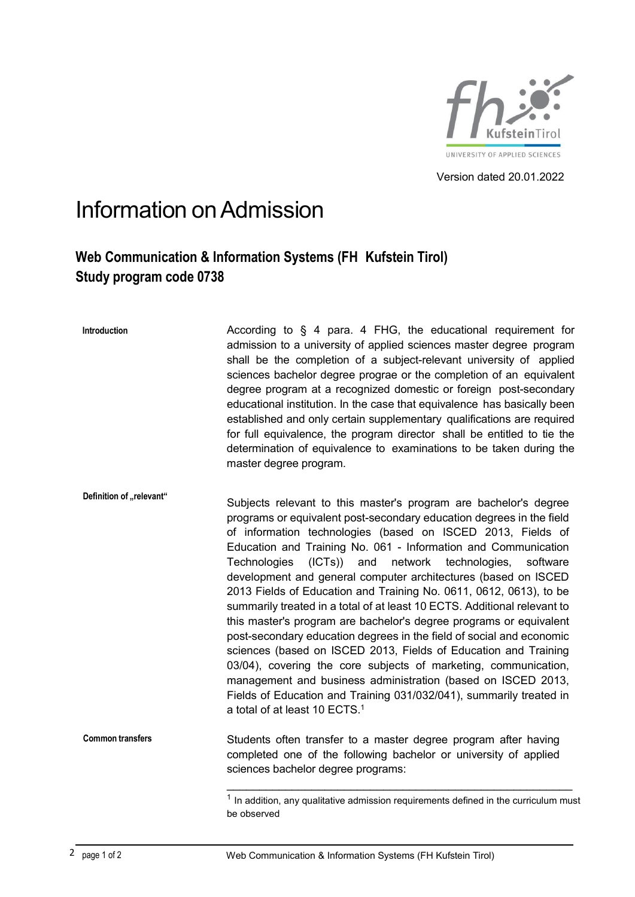

Version dated 20.01.2022

## Information onAdmission

## **Web Communication & Information Systems (FH Kufstein Tirol) Study program code 0738**

| Introduction             | According to § 4 para. 4 FHG, the educational requirement for<br>admission to a university of applied sciences master degree program<br>shall be the completion of a subject-relevant university of applied<br>sciences bachelor degree prograe or the completion of an equivalent<br>degree program at a recognized domestic or foreign post-secondary<br>educational institution. In the case that equivalence has basically been<br>established and only certain supplementary qualifications are required<br>for full equivalence, the program director shall be entitled to tie the<br>determination of equivalence to examinations to be taken during the<br>master degree program.                                                                                                                                                                                                                                                                                                                                                  |
|--------------------------|--------------------------------------------------------------------------------------------------------------------------------------------------------------------------------------------------------------------------------------------------------------------------------------------------------------------------------------------------------------------------------------------------------------------------------------------------------------------------------------------------------------------------------------------------------------------------------------------------------------------------------------------------------------------------------------------------------------------------------------------------------------------------------------------------------------------------------------------------------------------------------------------------------------------------------------------------------------------------------------------------------------------------------------------|
| Definition of "relevant" | Subjects relevant to this master's program are bachelor's degree<br>programs or equivalent post-secondary education degrees in the field<br>of information technologies (based on ISCED 2013, Fields of<br>Education and Training No. 061 - Information and Communication<br>$(ICTs)$ and<br>network technologies,<br>Technologies<br>software<br>development and general computer architectures (based on ISCED<br>2013 Fields of Education and Training No. 0611, 0612, 0613), to be<br>summarily treated in a total of at least 10 ECTS. Additional relevant to<br>this master's program are bachelor's degree programs or equivalent<br>post-secondary education degrees in the field of social and economic<br>sciences (based on ISCED 2013, Fields of Education and Training<br>03/04), covering the core subjects of marketing, communication,<br>management and business administration (based on ISCED 2013,<br>Fields of Education and Training 031/032/041), summarily treated in<br>a total of at least 10 ECTS. <sup>1</sup> |
| <b>Common transfers</b>  | Students often transfer to a master degree program after having<br>completed one of the following bachelor or university of applied<br>sciences bachelor degree programs:                                                                                                                                                                                                                                                                                                                                                                                                                                                                                                                                                                                                                                                                                                                                                                                                                                                                  |
|                          | In addition, any qualitative admission requirements defined in the curriculum must                                                                                                                                                                                                                                                                                                                                                                                                                                                                                                                                                                                                                                                                                                                                                                                                                                                                                                                                                         |

be observed